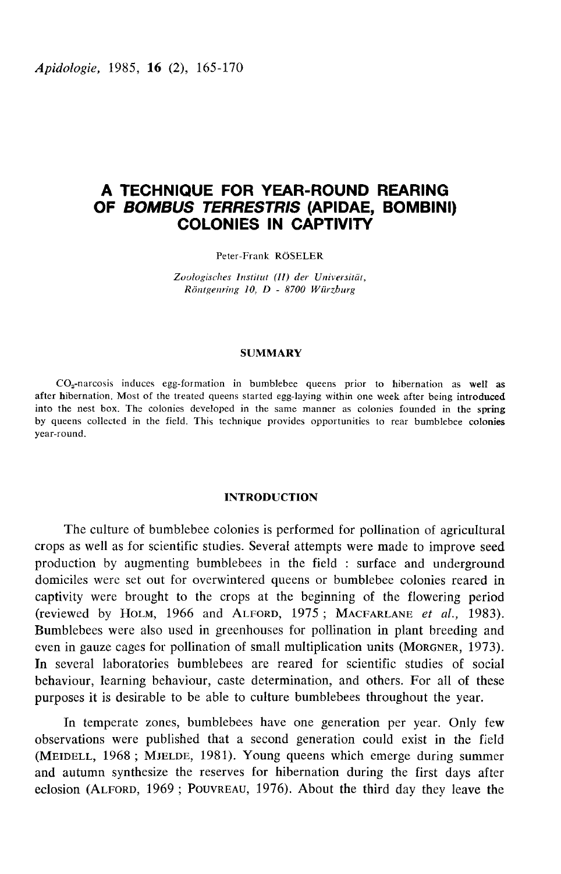Apidologie, 1985, 16 (2), 165-170

# A TECHNIQUE FOR YEAR-ROUND REARING OF BOMBUS TERRESTRIS (APIDAE, BOMBINI) COLONIES IN CAPTIVITY

Peter-Frank RÖSELER

Zoologisches Institut (II) der Universität,  $Röntgenring 10, D - 8700 Würzburg$ 

#### **SUMMARY**

SUMMARY<br>
CO<sub>2</sub>-narcosis induces egg-formation in bumblebee queens prior to hibernation as well as<br>
after hibernation. Most of the treated queens started egg-laying within one week after being introduced into the nest box. The colonies developed in the same manner as colonies founded in the spring by queens collected in the field. This technique provides opportunities to rear bumblebee colonies year-round.

# INTRODUCTION

The culture of bumblebee colonies is performed for pollination of agricultural crops as well as for scientific studies. Several attempts were made to improve seed production by augmenting bumblebees in the field : surface and underground<br>domiciles were set out for overwintered queens or bumblebee colonies reared in<br>captivity were brought to the crops at the beginning of the flowerin domiciles were set out for overwintered queens or bumblebee colonies reared in captivity were brought to the crops at the beginning of the flowering period (reviewed by HOLM, 1966 and ALFORD, 1975; MACFARLANE et al., 1983). Bumblebees were also used in greenhouses for pollination in plant breeding and even in gauze cages for pollination of small multiplication units (MORGNER, 1973). In several laboratories bumblebees are reared for scientific studies of social behaviour, learning behaviour, caste determination, and others. For all of these purposes it is desirable to be able to culture bumblebees throughout the year.

In temperate zones, bumblebees have one generation per year. Only few observations were published that a second generation could exist in the field (MEIDELL, 1968; MJELDE, 1981). Young queens which emerge during summer purposes it is desirable to be able to culture bumblebees throughout the year.<br>In temperate zones, bumblebees have one generation per year. Only few<br>observations were published that a second generation could exist in the f and autumn synthesize the reserves for hibernation during the first days after eclosion (ALFORD, 1969; POUVREAU, 1976). About the third day they leave the In temperate zones, bumblebees have one generation per year. Only few<br>observations were published that a second generation could exist in the field<br>(MEIDELL, 1968; MJELDE, 1981). Young queens which emerge during summer<br>and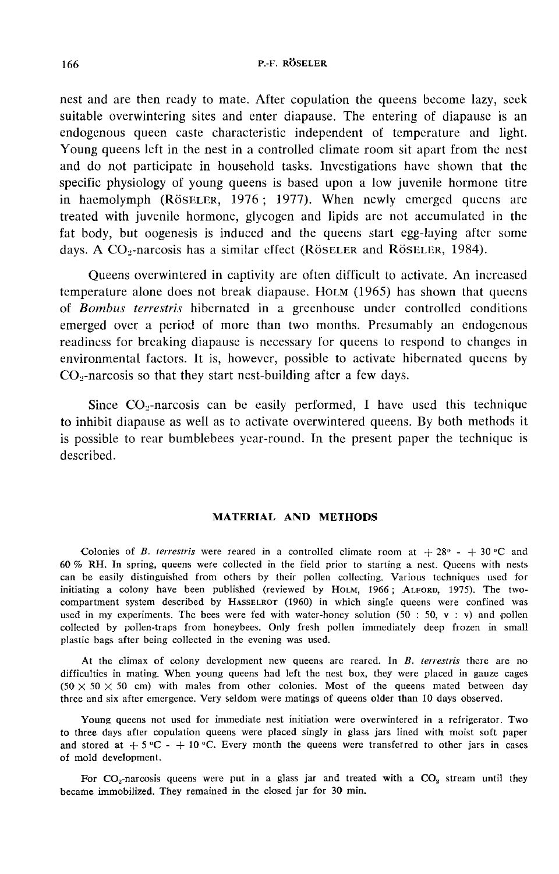## P.-F. RÖSELER

nest and are then ready to mate. After copulation the queens become lazy, seek suitable overwintering sites and enter diapause. The entering of diapause is an endogenous queen caste characteristic independent of temperature and light. Young queens left in the nest in a controlled climate room sit apart from the nest and do not participate in household tasks. Investigations have shown that the specific physiology of young queens is based upon a low juvenile hormone titre in haemolymph ( $R$  $\ddot{o}$ SELER, 1976; 1977). When newly emerged queens are treated with juvenile hormone, glycogen and lipids are not accumulated in the fat body, but oogenesis is induced and the queens start egg-laying after some days. A CO<sub>2</sub>-narcosis has a similar effect (Röseler and Röseler, 1984).

Queens overwintered in captivity are often difficult to activate. An increased temperature alone does not break diapause. HoLM (1965) has shown that queens of Bombus terrestris hibernated in a greenhouse under controlled conditions emerged over a period of more than two months. Presumably an endogenous readiness for breaking diapause is necessary for queens to respond to changes in environmental factors. It is, however, possible to activate hibernated queens by temperature alone does not break diapause. HOLM (1965) has<br>of *Bombus terrestris* hibernated in a greenhouse under c<br>emerged over a period of more than two months. Presum<br>readiness for breaking diapause is necessary for qu ged over a period of more than two months. Presumably an endogenous<br>ness for breaking diapause is necessary for queens to respond to changes in<br>onmental factors. It is, however, possible to activate hibernated queens by<br>na

to inhibit diapause as well as to activate overwintered queens. By both methods it is possible to rear bumblebees year-round. In the present paper the technique is described.

# MATERIAL AND METHODS

Colonies of B. terrestris were reared in a controlled climate room at  $+28^{\circ}$  -  $+30^{\circ}$ C and 60 % RH. In spring, queens were collected in the field prior to starting a nest. Queens with nests can be easily distinguished from others by their pollen collecting. Various techniques used for initiating a colony have been published (reviewed by Ногм, 1966; Aг.Fоrр, 1975). The two-Colonies of *B. terrestris* were reared in a controlled climate room at  $+28^{\circ} - +30^{\circ}$ C and 60 % RH. In spring, queens were collected in the field prior to starting a nest. Queens with nests can be easily distinguished used in my experiments. The bees were fed with water-honey solution (50 : 50,  $v : v$ ) and pollen collected by pollen-traps from honeybees. Only fresh pollen immediately deep frozen in small plastic bags after being collected in the evening was used.

At the climax of colony development new queens are reared. In B. terrestris there are no difficulties in mating. When young queens had left the nest box, they were placed in gauze cages  $(50 \times 50 \times 50$  cm) with males from other colonies. Most of the queens mated between day three and six after emergence. Very seldom were matings of queens older than 10 days observed.

Young queens not used for immediate nest initiation were overwintered in a refrigerator. Two to three days after copulation queens were placed singly in glass jars lined with moist soft paper and stored at  $+5$  °C -  $+10$  °C. Every month the queens were transferred to other jars in cases of mold development.

For  $CO_2$ -narcosis queens were put in a glass jar and treated with a  $CO_2$  stream until they became immobilized. They remained in the closed jar for 30 min.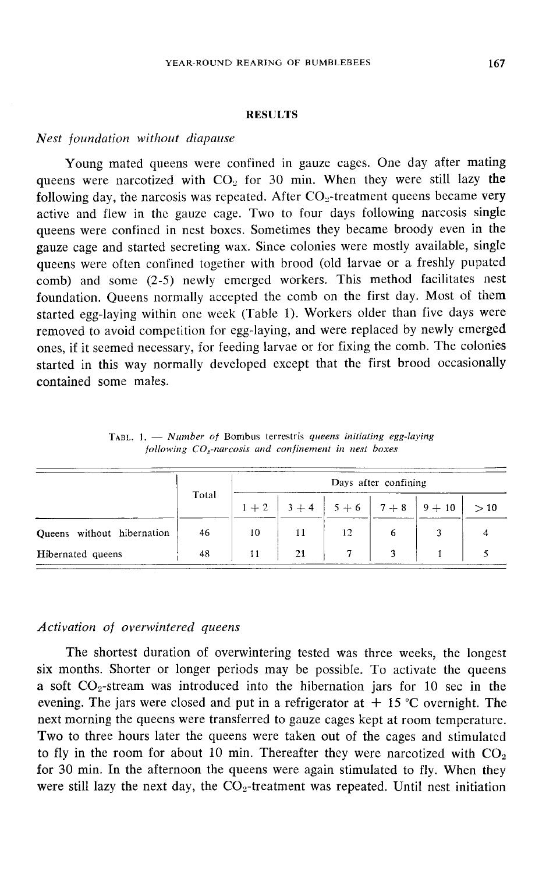#### RESULTS

#### Nest foundation without diapause

Young mated queens were confined in gauze cages. One day after mating queens were narcotized with  $CO<sub>2</sub>$  for 30 min. When they were still lazy the following day, the narcosis was repeated. After  $CO<sub>2</sub>$ -treatment queens became very active and flew in the gauze cage. Two to four days following narcosis single queens were confined in nest boxes. Sometimes they became broody even in the gauze cage and started secreting wax. Since colonies were mostly available, single queens were often confined together with brood (old larvae or a freshly pupated comb) and some (2-5) newly emerged workers. This method facilitates nest foundation. Queens normally accepted the comb on the first day. Most of them started egg-laying within one week (Table 1). Workers older than five days were removed to avoid competition for egg-laying, and were replaced by newly emerged ones, if it seemed necessary, for feeding larvae or for fixing the comb. The colonies started in this way normally developed except that the first brood occasionally contained some males.

|                            | Total | Days after confining |    |             |       |          |     |
|----------------------------|-------|----------------------|----|-------------|-------|----------|-----|
|                            |       | $1 + 2$              |    | $3+4$ 5 + 6 | $7+8$ | $9 + 10$ | >10 |
| Queens without hibernation | 46    | 10                   |    | 12          |       |          |     |
| <b>Hibernated</b> queens   | 48    |                      | 21 |             |       |          |     |

TABL. 1.  $-$  Number of Bombus terrestris queens initiating egg-laying following  $CO<sub>z</sub>$ -narcosis and confinement in nest boxes

#### Activation of overwintered queens

The shortest duration of overwintering tested was three weeks, the longest six months. Shorter or longer periods may be possible. To activate the queens Activation of overwintered queens<br>The shortest duration of overwintering tested was three weeks, the longest<br>six months. Shorter or longer periods may be possible. To activate the queens<br>a soft  $CO_2$ -stream was introduced evening. The jars were closed and put in a refrigerator at  $+ 15$  °C overnight. The next morning the queens were transferred to gauze cages kept at room temperature. Two to three hours later the queens were taken out of the cages and stimulated Two to three hours later the queens were taken out of the cages and stimulated<br>to fly in the room for about 10 min. Thereafter they were narcotized with  $CO<sub>2</sub>$ a soft  $CO_2$ -stream was introduced into the hibernation jars for 10 sec in the evening. The jars were closed and put in a refrigerator at  $+ 15$  °C overnight. The next morning the queens were transferred to gauze cages ke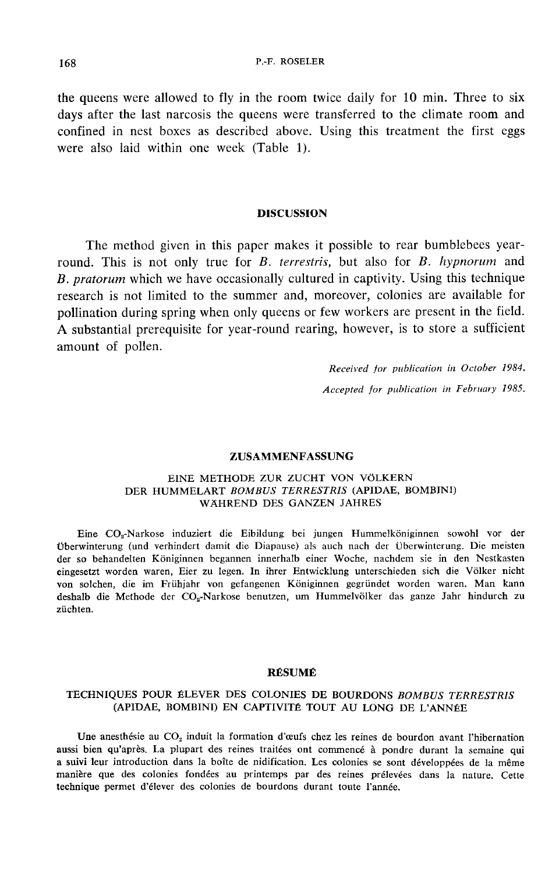the queens were allowed to fly in the room twice daily for 10 min. Three to six days after the last narcosis the queens were transferred to the climate room and confined in nest boxes as described above. Using this treatment the first eggs were also laid within one week (Table 1).

## DISCUSSION

The method given in this paper makes it possible to rear bumblebees yearround. This is not only true for  $B$ . terrestris, but also for  $B$ . hypnorum and B. pratorum which we have occasionally cultured in captivity. Using this technique research is not limited to the summer and, moreover, colonies are available for pollination during spring when only queens or few workers are present in the field. A substantial prerequisite for year-round rearing, however, is to store a sufficient amount of pollen.

> Received for publication in October 1984. Accepted for publication in February 1985.

#### ZUSAMMENFASSUNG

#### EINE METHODE ZUR ZUCHT VON VÖLKERN DER HUMMELART BOMBUS TERRESTRIS (APIDAE, BOMBINI) WÄHREND DES GANZEN JAHRES

Eine CO,-Narkose induziert die Eibildung bei jungen Hummelköniginnen sowohl vor der Überwinterung (und verhindert damit die Diapause) als auch nach der Überwinterung. Die meisten der so behandelten Königinnen begannen innerhalb einer Woche, nachdem sie in den Nestkasten eingesetzt worden waren, Eier zu legen. In ihrer Entwicklung unterschieden sich die Völker nicht von solchen, die im Frühjahr von gefangenen Königinnen gegründet worden waren. Man kann deshalb die Methode der CO<sub>2</sub>-Narkose benutzen, um Hummelvölker das ganze Jahr hindurch zu Eine  $CO<sub>a</sub>$ -Narkose induziert die Eibildung bei jungen Hummelköniginnen sowohl vor der Überwinterung (und verhindert damit die Diapause) als auch nach der Überwinterung. Die meisten der so behandelten Königinnen begann züchten.

#### RÉSUMÉ

# TECHNIQUES POUR ÉLEVER DES COLONIES DE BOURDONS BOMBUS TERRESTRIS (APIDAE, BOMBINI) EN CAPTIVITÉ TOUT AU LONG DE L'ANNÉE

Une anesthésie au  $CO<sub>2</sub>$  induit la formation d'œufs chez les reines de bourdon avant l'hibernation aussi bien qu'après. La plupart des reines traitées ont commencé à pondre durant la semaine qui a suivi leur introduction dans la boîte de nidification. Les colonies se sont développées de la même manière que des colonies fondées au printemps par des reines prélevées dans la nature. Cette technique permet d'élever des colonies de bourdons durant toute l'année.